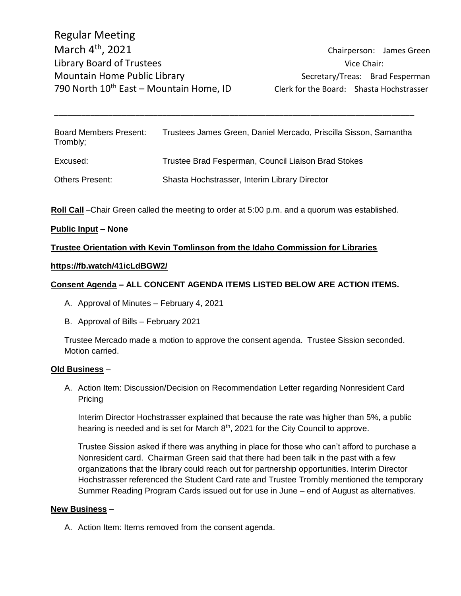Chairperson: James Green

Board Members Present: Trustees James Green, Daniel Mercado, Priscilla Sisson, Samantha Trombly; Excused: Trustee Brad Fesperman, Council Liaison Brad Stokes Others Present: Shasta Hochstrasser, Interim Library Director

\_\_\_\_\_\_\_\_\_\_\_\_\_\_\_\_\_\_\_\_\_\_\_\_\_\_\_\_\_\_\_\_\_\_\_\_\_\_\_\_\_\_\_\_\_\_\_\_\_\_\_\_\_\_\_\_\_\_\_\_\_\_\_\_\_\_\_\_\_\_\_\_\_\_\_\_\_\_\_\_

**Roll Call** –Chair Green called the meeting to order at 5:00 p.m. and a quorum was established.

## **Public Input – None**

## **Trustee Orientation with Kevin Tomlinson from the Idaho Commission for Libraries**

### **https://fb.watch/41icLdBGW2/**

## **Consent Agenda – ALL CONCENT AGENDA ITEMS LISTED BELOW ARE ACTION ITEMS.**

- A. Approval of Minutes February 4, 2021
- B. Approval of Bills February 2021

Trustee Mercado made a motion to approve the consent agenda. Trustee Sission seconded. Motion carried.

## **Old Business** –

# A. Action Item: Discussion/Decision on Recommendation Letter regarding Nonresident Card Pricing

Interim Director Hochstrasser explained that because the rate was higher than 5%, a public hearing is needed and is set for March  $8<sup>th</sup>$ , 2021 for the City Council to approve.

Trustee Sission asked if there was anything in place for those who can't afford to purchase a Nonresident card. Chairman Green said that there had been talk in the past with a few organizations that the library could reach out for partnership opportunities. Interim Director Hochstrasser referenced the Student Card rate and Trustee Trombly mentioned the temporary Summer Reading Program Cards issued out for use in June – end of August as alternatives.

### **New Business** –

A. Action Item: Items removed from the consent agenda.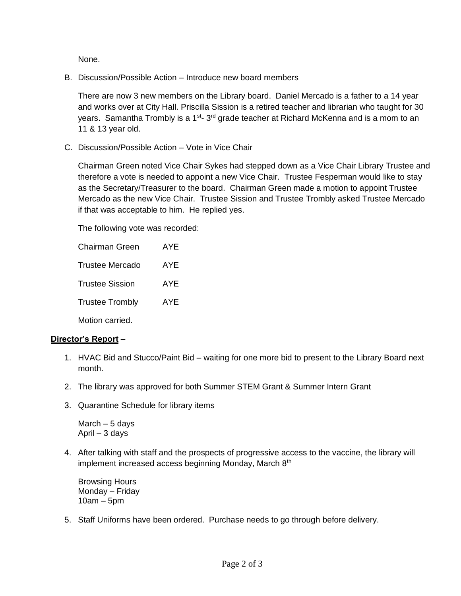None.

B. Discussion/Possible Action – Introduce new board members

There are now 3 new members on the Library board. Daniel Mercado is a father to a 14 year and works over at City Hall. Priscilla Sission is a retired teacher and librarian who taught for 30 years. Samantha Trombly is a 1<sup>st</sup>- 3<sup>rd</sup> grade teacher at Richard McKenna and is a mom to an 11 & 13 year old.

C. Discussion/Possible Action – Vote in Vice Chair

Chairman Green noted Vice Chair Sykes had stepped down as a Vice Chair Library Trustee and therefore a vote is needed to appoint a new Vice Chair. Trustee Fesperman would like to stay as the Secretary/Treasurer to the board. Chairman Green made a motion to appoint Trustee Mercado as the new Vice Chair. Trustee Sission and Trustee Trombly asked Trustee Mercado if that was acceptable to him. He replied yes.

The following vote was recorded:

| <b>Chairman Green</b>  | AYF |
|------------------------|-----|
| <b>Trustee Mercado</b> | AYE |
| <b>Trustee Sission</b> | AYF |
| <b>Trustee Trombly</b> | AYF |
| Motion carried.        |     |

## **Director's Report** –

- 1. HVAC Bid and Stucco/Paint Bid waiting for one more bid to present to the Library Board next month.
- 2. The library was approved for both Summer STEM Grant & Summer Intern Grant
- 3. Quarantine Schedule for library items

March – 5 days April – 3 days

4. After talking with staff and the prospects of progressive access to the vaccine, the library will implement increased access beginning Monday, March 8<sup>th</sup>

Browsing Hours Monday – Friday 10am – 5pm

5. Staff Uniforms have been ordered. Purchase needs to go through before delivery.